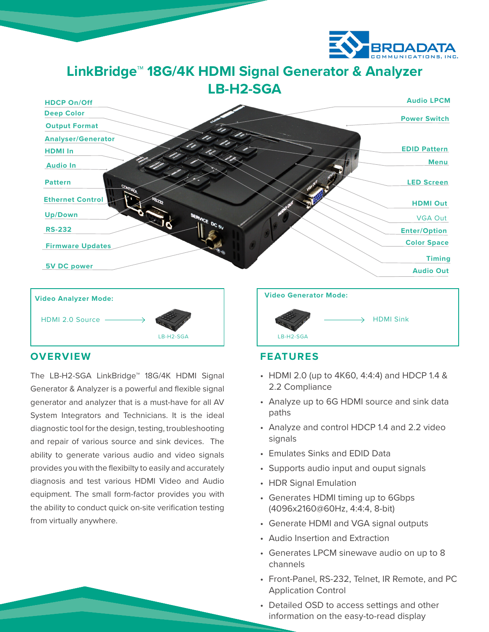

**LinkBridge™ 18G/4K HDMI Signal Generator & Analyzer LB-H2-SGA**





# **OVERVIEW**

The LB-H2-SGA LinkBridge™ 18G/4K HDMI Signal Generator & Analyzer is a powerful and flexible signal generator and analyzer that is a must-have for all AV System Integrators and Technicians. It is the ideal diagnostic tool for the design, testing, troubleshooting and repair of various source and sink devices. The ability to generate various audio and video signals provides you with the flexibilty to easily and accurately diagnosis and test various HDMI Video and Audio equipment. The small form-factor provides you with the ability to conduct quick on-site verification testing from virtually anywhere.



# **FEATURES**

- HDMI 2.0 (up to 4K60, 4:4:4) and HDCP 1.4 & 2.2 Compliance
- Analyze up to 6G HDMI source and sink data paths
- Analyze and control HDCP 1.4 and 2.2 video signals
- Emulates Sinks and EDID Data
- Supports audio input and ouput signals
- HDR Signal Emulation
- Generates HDMI timing up to 6Gbps (4096x2160@60Hz, 4:4:4, 8-bit)
- Generate HDMI and VGA signal outputs
- Audio Insertion and Extraction
- Generates LPCM sinewave audio on up to 8 channels
- Front-Panel, RS-232, Telnet, IR Remote, and PC Application Control
- Detailed OSD to access settings and other information on the easy-to-read display